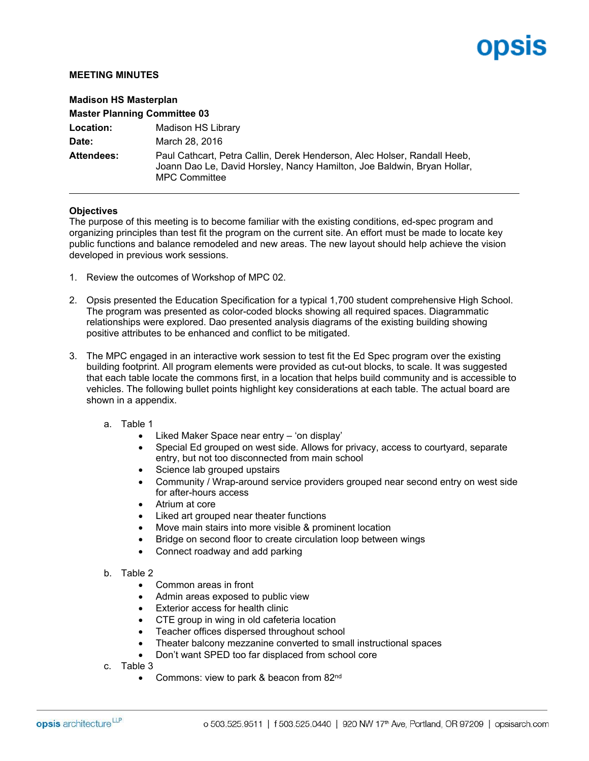## opsis

## **MEETING MINUTES**

| <b>Madison HS Masterplan</b>        |                                                                                                                                                                             |
|-------------------------------------|-----------------------------------------------------------------------------------------------------------------------------------------------------------------------------|
| <b>Master Planning Committee 03</b> |                                                                                                                                                                             |
| Location:                           | Madison HS Library                                                                                                                                                          |
| Date:                               | March 28, 2016                                                                                                                                                              |
| Attendees:                          | Paul Cathcart, Petra Callin, Derek Henderson, Alec Holser, Randall Heeb,<br>Joann Dao Le, David Horsley, Nancy Hamilton, Joe Baldwin, Bryan Hollar,<br><b>MPC Committee</b> |

## **Objectives**

The purpose of this meeting is to become familiar with the existing conditions, ed-spec program and organizing principles than test fit the program on the current site. An effort must be made to locate key public functions and balance remodeled and new areas. The new layout should help achieve the vision developed in previous work sessions.

- 1. Review the outcomes of Workshop of MPC 02.
- 2. Opsis presented the Education Specification for a typical 1,700 student comprehensive High School. The program was presented as color-coded blocks showing all required spaces. Diagrammatic relationships were explored. Dao presented analysis diagrams of the existing building showing positive attributes to be enhanced and conflict to be mitigated.
- 3. The MPC engaged in an interactive work session to test fit the Ed Spec program over the existing building footprint. All program elements were provided as cut-out blocks, to scale. It was suggested that each table locate the commons first, in a location that helps build community and is accessible to vehicles. The following bullet points highlight key considerations at each table. The actual board are shown in a appendix.
	- a. Table 1
		- Liked Maker Space near entry 'on display'
		- Special Ed grouped on west side. Allows for privacy, access to courtyard, separate entry, but not too disconnected from main school
		- Science lab grouped upstairs
		- Community / Wrap-around service providers grouped near second entry on west side for after-hours access
		- Atrium at core
		- Liked art grouped near theater functions
		- Move main stairs into more visible & prominent location
		- Bridge on second floor to create circulation loop between wings
		- Connect roadway and add parking
	- b. Table 2
		- Common areas in front
		- Admin areas exposed to public view
		- Exterior access for health clinic
		- CTE group in wing in old cafeteria location
		- Teacher offices dispersed throughout school
		- Theater balcony mezzanine converted to small instructional spaces
		- Don't want SPED too far displaced from school core
	- c. Table 3
		- Commons: view to park & beacon from 82<sup>nd</sup>